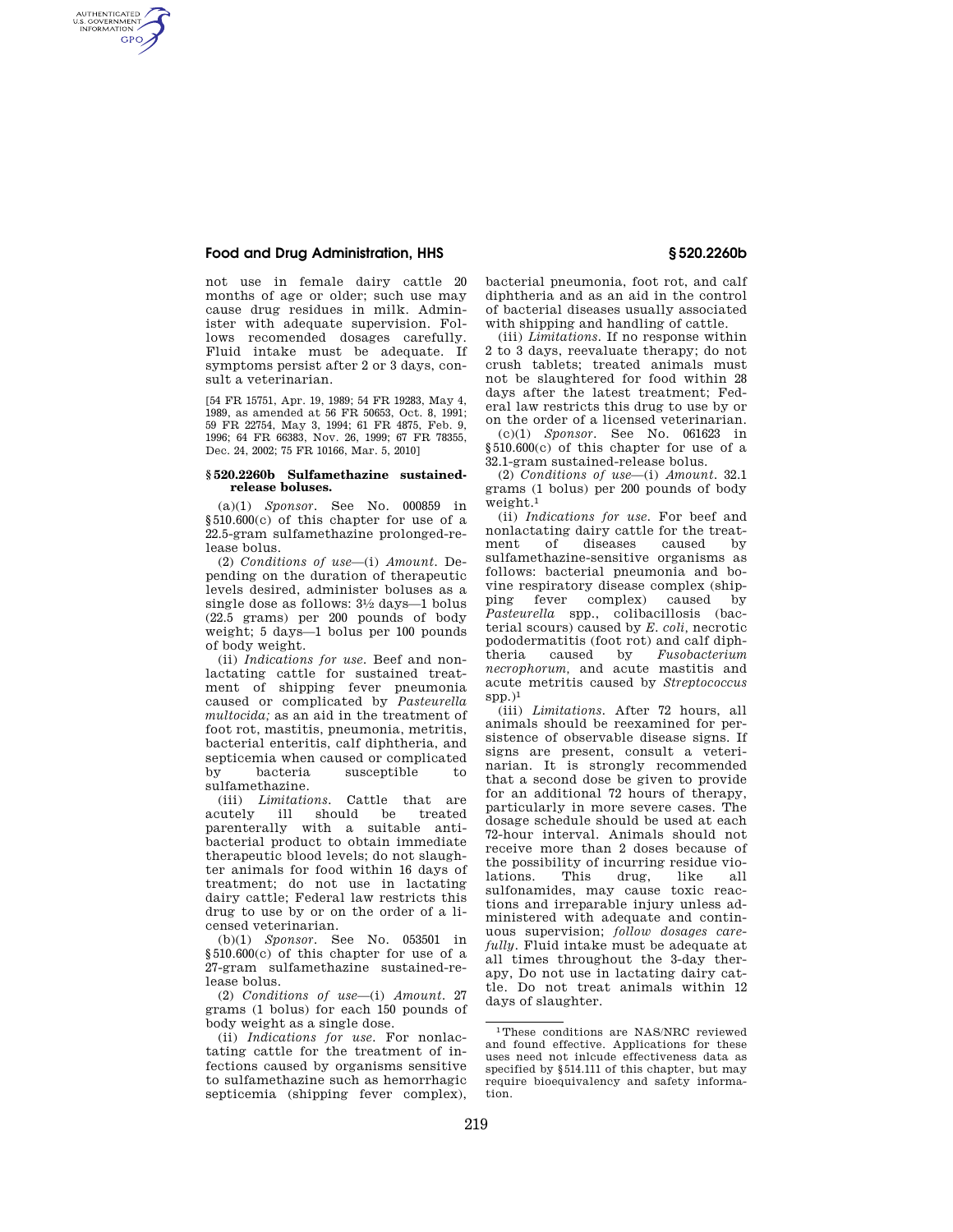# **Food and Drug Administration, HHS § 520.2260b**

AUTHENTICATED<br>U.S. GOVERNMENT<br>INFORMATION **GPO** 

> not use in female dairy cattle 20 months of age or older; such use may cause drug residues in milk. Administer with adequate supervision. Follows recomended dosages carefully. Fluid intake must be adequate. If symptoms persist after 2 or 3 days, consult a veterinarian.

> [54 FR 15751, Apr. 19, 1989; 54 FR 19283, May 4, 1989, as amended at 56 FR 50653, Oct. 8, 1991; 59 FR 22754, May 3, 1994; 61 FR 4875, Feb. 9, 1996; 64 FR 66383, Nov. 26, 1999; 67 FR 78355, Dec. 24, 2002; 75 FR 10166, Mar. 5, 2010]

#### **§ 520.2260b Sulfamethazine sustainedrelease boluses.**

(a)(1) *Sponsor.* See No. 000859 in §510.600(c) of this chapter for use of a 22.5-gram sulfamethazine prolonged-release bolus.

(2) *Conditions of use*—(i) *Amount.* Depending on the duration of therapeutic levels desired, administer boluses as a single dose as follows: 31⁄2 days—1 bolus (22.5 grams) per 200 pounds of body weight; 5 days—1 bolus per 100 pounds of body weight.

(ii) *Indications for use.* Beef and nonlactating cattle for sustained treatment of shipping fever pneumonia caused or complicated by *Pasteurella multocida;* as an aid in the treatment of foot rot, mastitis, pneumonia, metritis, bacterial enteritis, calf diphtheria, and septicemia when caused or complicated<br>by bacteria susceptible to by bacteria susceptible to sulfamethazine.

(iii) *Limitations*. Cattle that are<br>acutely ill should be treated ill should be parenterally with a suitable antibacterial product to obtain immediate therapeutic blood levels; do not slaughter animals for food within 16 days of treatment; do not use in lactating dairy cattle; Federal law restricts this drug to use by or on the order of a licensed veterinarian.

(b)(1) *Sponsor.* See No. 053501 in §510.600(c) of this chapter for use of a 27-gram sulfamethazine sustained-release bolus.

(2) *Conditions of use*—(i) *Amount.* 27 grams (1 bolus) for each 150 pounds of body weight as a single dose.

(ii) *Indications for use.* For nonlactating cattle for the treatment of infections caused by organisms sensitive to sulfamethazine such as hemorrhagic septicemia (shipping fever complex), bacterial pneumonia, foot rot, and calf diphtheria and as an aid in the control of bacterial diseases usually associated with shipping and handling of cattle.

(iii) *Limitations.* If no response within 2 to 3 days, reevaluate therapy; do not crush tablets; treated animals must not be slaughtered for food within 28 days after the latest treatment; Federal law restricts this drug to use by or on the order of a licensed veterinarian.

(c)(1) *Sponsor.* See No. 061623 in §510.600(c) of this chapter for use of a 32.1-gram sustained-release bolus.

(2) *Conditions of use*—(i) *Amount.* 32.1 grams (1 bolus) per 200 pounds of body weight.1

(ii) *Indications for use.* For beef and nonlactating dairy cattle for the treatment of diseases caused by sulfamethazine-sensitive organisms as follows: bacterial pneumonia and bovine respiratory disease complex (shipping fever complex) caused by *Pasteurella* spp., colibacillosis (bacterial scours) caused by *E. coli,* necrotic pododermatitis (foot rot) and calf diphtheria caused by *Fusobacterium necrophorum,* and acute mastitis and acute metritis caused by *Streptococcus*   $spp.$ )<sup>1</sup>

(iii) *Limitations.* After 72 hours, all animals should be reexamined for persistence of observable disease signs. If signs are present, consult a veterinarian. It is strongly recommended that a second dose be given to provide for an additional 72 hours of therapy, particularly in more severe cases. The dosage schedule should be used at each 72-hour interval. Animals should not receive more than 2 doses because of the possibility of incurring residue violations. This drug, like all sulfonamides, may cause toxic reactions and irreparable injury unless administered with adequate and continuous supervision; *follow dosages carefully.* Fluid intake must be adequate at all times throughout the 3-day therapy, Do not use in lactating dairy cattle. Do not treat animals within 12 days of slaughter.

<sup>1</sup>These conditions are NAS/NRC reviewed and found effective. Applications for these uses need not inlcude effectiveness data as specified by §514.111 of this chapter, but may require bioequivalency and safety information.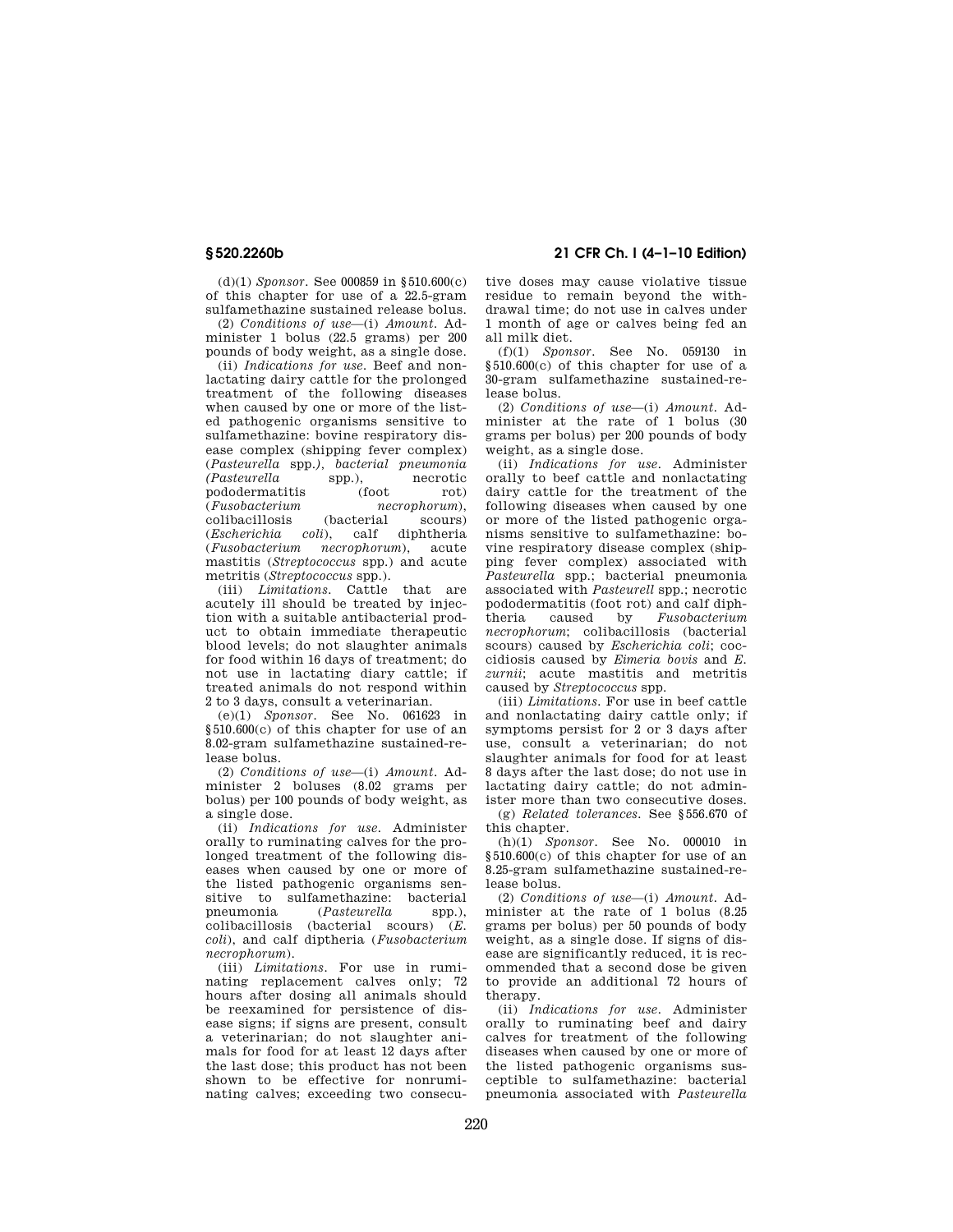**§ 520.2260b 21 CFR Ch. I (4–1–10 Edition)** 

(d)(1) *Sponsor.* See 000859 in §510.600(c) of this chapter for use of a 22.5-gram sulfamethazine sustained release bolus.

(2) *Conditions of use*—(i) *Amount.* Administer 1 bolus (22.5 grams) per 200 pounds of body weight, as a single dose.

(ii) *Indications for use.* Beef and nonlactating dairy cattle for the prolonged treatment of the following diseases when caused by one or more of the listed pathogenic organisms sensitive to sulfamethazine: bovine respiratory disease complex (shipping fever complex) (*Pasteurella* spp.*), bacterial pneumonia (Pasteurella* spp.), pododermatitis (foot rot)<br>(*Fusobacterium necrophorum*), (*Fusobacterium necrophorum*), colibacillosis<br>(Escherichia (*Escherichia coli*), calf diphtheria (*Fusobacterium necrophorum*), acute mastitis (*Streptococcus* spp.) and acute metritis (*Streptococcus* spp.).

(iii) *Limitations.* Cattle that are acutely ill should be treated by injection with a suitable antibacterial product to obtain immediate therapeutic blood levels; do not slaughter animals for food within 16 days of treatment; do not use in lactating diary cattle; if treated animals do not respond within 2 to 3 days, consult a veterinarian.

(e)(1) *Sponsor.* See No. 061623 in §510.600(c) of this chapter for use of an 8.02-gram sulfamethazine sustained-release bolus.

(2) *Conditions of use*—(i) *Amount*. Administer 2 boluses (8.02 grams per bolus) per 100 pounds of body weight, as a single dose.

(ii) *Indications for use.* Administer orally to ruminating calves for the prolonged treatment of the following diseases when caused by one or more of the listed pathogenic organisms sensitive to sulfamethazine: bacterial<br>pneumonia (*Pasteurella* spp.).  $(Pasterella$  spp.), colibacillosis (bacterial scours) (*E. coli*), and calf diptheria (*Fusobacterium necrophorum*).

(iii) *Limitations.* For use in ruminating replacement calves only; 72 hours after dosing all animals should be reexamined for persistence of disease signs; if signs are present, consult a veterinarian; do not slaughter animals for food for at least 12 days after the last dose; this product has not been shown to be effective for nonruminating calves; exceeding two consecutive doses may cause violative tissue residue to remain beyond the withdrawal time; do not use in calves under 1 month of age or calves being fed an all milk diet.

(f)(1) *Sponsor.* See No. 059130 in  $§510.600(c)$  of this chapter for use of a 30-gram sulfamethazine sustained-release bolus.

(2) *Conditions of use*—(i) *Amount.* Administer at the rate of 1 bolus (30 grams per bolus) per 200 pounds of body weight, as a single dose.

(ii) *Indications for use.* Administer orally to beef cattle and nonlactating dairy cattle for the treatment of the following diseases when caused by one or more of the listed pathogenic organisms sensitive to sulfamethazine: bovine respiratory disease complex (shipping fever complex) associated with *Pasteurella* spp.; bacterial pneumonia associated with *Pasteurell* spp.; necrotic pododermatitis (foot rot) and calf diph-<br>theria caused by Fusebacterium  $Fusobacterium$ *necrophorum*; colibacillosis (bacterial scours) caused by *Escherichia coli*; coccidiosis caused by *Eimeria bovis* and *E. zurnii*; acute mastitis and metritis caused by *Streptococcus* spp.

(iii) *Limitations.* For use in beef cattle and nonlactating dairy cattle only; if symptoms persist for 2 or 3 days after use, consult a veterinarian; do not slaughter animals for food for at least 8 days after the last dose; do not use in lactating dairy cattle; do not administer more than two consecutive doses.

(g) *Related tolerances.* See §556.670 of this chapter.

(h)(1) *Sponsor.* See No. 000010 in §510.600(c) of this chapter for use of an 8.25-gram sulfamethazine sustained-release bolus.

(2) *Conditions of use*—(i) *Amount.* Administer at the rate of 1 bolus (8.25 grams per bolus) per 50 pounds of body weight, as a single dose. If signs of disease are significantly reduced, it is recommended that a second dose be given to provide an additional 72 hours of therapy.

(ii) *Indications for use.* Administer orally to ruminating beef and dairy calves for treatment of the following diseases when caused by one or more of the listed pathogenic organisms susceptible to sulfamethazine: bacterial pneumonia associated with *Pasteurella*